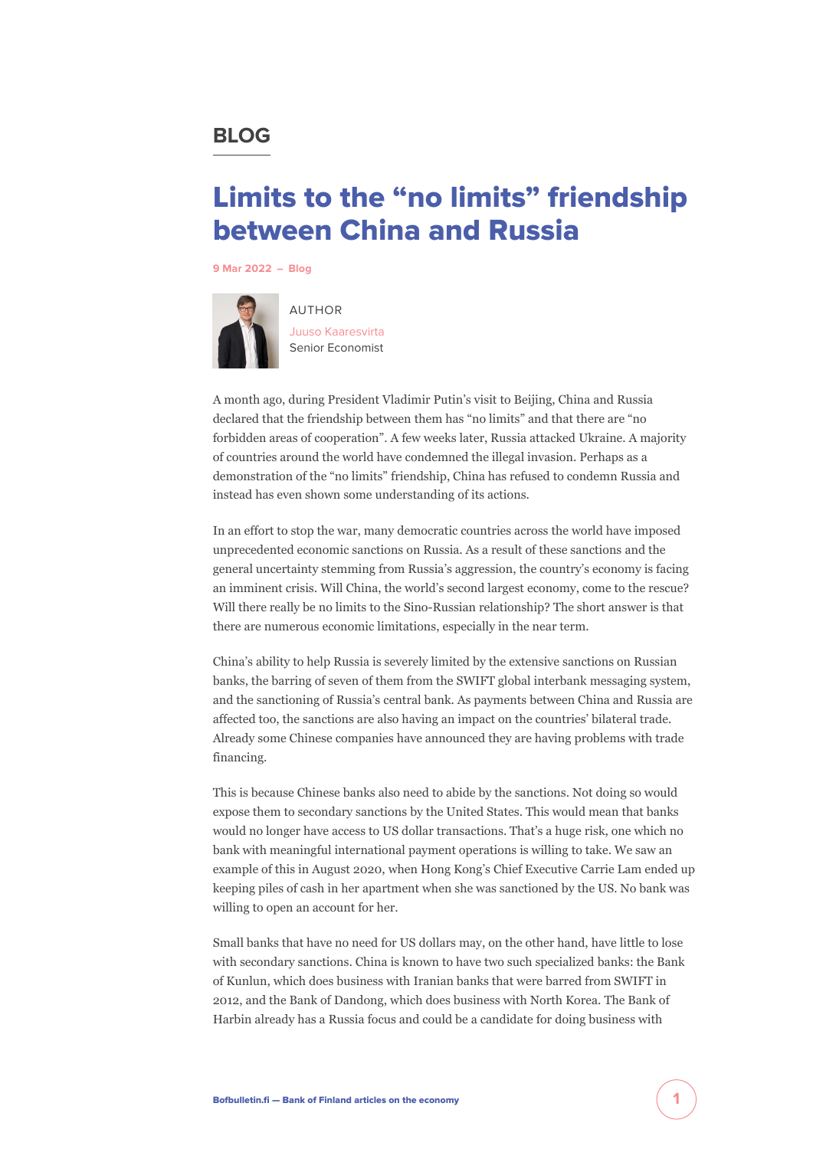## **BLOG**

# Limits to the "no limits" friendship between China and Russia

**[9 Mar 2022](https://www.bofbulletin.fi/en/blogs/?date=2022-03-09) – [Blog](https://www.bofbulletin.fi/en/blogs/)**



AUTHOR [Juuso Kaaresvirta](https://www.bofbulletin.fi/en/author/juuso-kaaresvirta/) Senior Economist

A month ago, during President Vladimir Putin's visit to Beijing, China and Russia declared that the friendship between them has "no limits" and that there are "no forbidden areas of cooperation". A few weeks later, Russia attacked Ukraine. A majority of countries around the world have condemned the illegal invasion. Perhaps as a demonstration of the "no limits" friendship, China has refused to condemn Russia and instead has even shown some understanding of its actions.

In an effort to stop the war, many democratic countries across the world have imposed unprecedented economic sanctions on Russia. As a result of these sanctions and the general uncertainty stemming from Russia's aggression, the country's economy is facing an imminent crisis. Will China, the world's second largest economy, come to the rescue? Will there really be no limits to the Sino-Russian relationship? The short answer is that there are numerous economic limitations, especially in the near term.

China's ability to help Russia is severely limited by the extensive sanctions on Russian banks, the barring of seven of them from the SWIFT global interbank messaging system, and the sanctioning of Russia's central bank. As payments between China and Russia are affected too, the sanctions are also having an impact on the countries' bilateral trade. Already some Chinese companies have announced they are having problems with trade financing.

This is because Chinese banks also need to abide by the sanctions. Not doing so would expose them to secondary sanctions by the United States. This would mean that banks would no longer have access to US dollar transactions. That's a huge risk, one which no bank with meaningful international payment operations is willing to take. We saw an example of this in August 2020, when Hong Kong's Chief Executive Carrie Lam ended up keeping piles of cash in her apartment when she was sanctioned by the US. No bank was willing to open an account for her.

Small banks that have no need for US dollars may, on the other hand, have little to lose with secondary sanctions. China is known to have two such specialized banks: the Bank of Kunlun, which does business with Iranian banks that were barred from SWIFT in 2012, and the Bank of Dandong, which does business with North Korea. The Bank of Harbin already has a Russia focus and could be a candidate for doing business with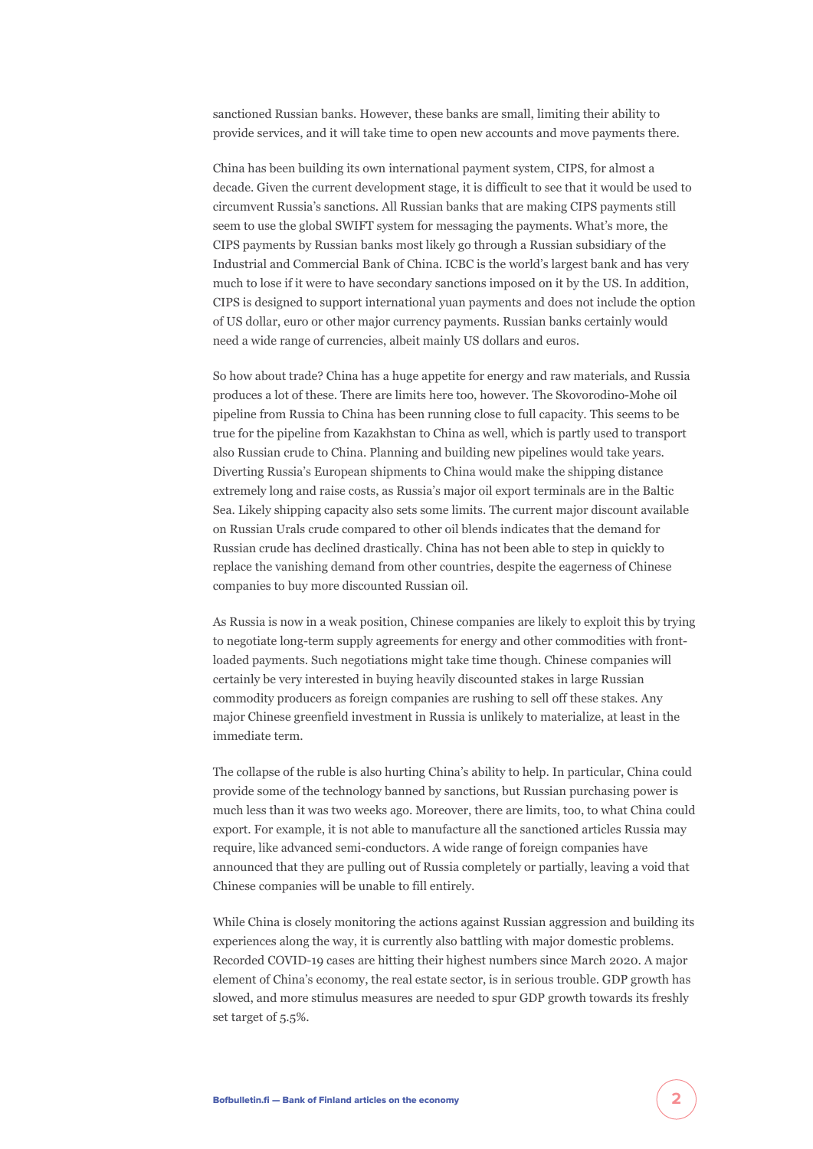sanctioned Russian banks. However, these banks are small, limiting their ability to provide services, and it will take time to open new accounts and move payments there.

China has been building its own international payment system, CIPS, for almost a decade. Given the current development stage, it is difficult to see that it would be used to circumvent Russia's sanctions. All Russian banks that are making CIPS payments still seem to use the global SWIFT system for messaging the payments. What's more, the CIPS payments by Russian banks most likely go through a Russian subsidiary of the Industrial and Commercial Bank of China. ICBC is the world's largest bank and has very much to lose if it were to have secondary sanctions imposed on it by the US. In addition, CIPS is designed to support international yuan payments and does not include the option of US dollar, euro or other major currency payments. Russian banks certainly would need a wide range of currencies, albeit mainly US dollars and euros.

So how about trade? China has a huge appetite for energy and raw materials, and Russia produces a lot of these. There are limits here too, however. The Skovorodino-Mohe oil pipeline from Russia to China has been running close to full capacity. This seems to be true for the pipeline from Kazakhstan to China as well, which is partly used to transport also Russian crude to China. Planning and building new pipelines would take years. Diverting Russia's European shipments to China would make the shipping distance extremely long and raise costs, as Russia's major oil export terminals are in the Baltic Sea. Likely shipping capacity also sets some limits. The current major discount available on Russian Urals crude compared to other oil blends indicates that the demand for Russian crude has declined drastically. China has not been able to step in quickly to replace the vanishing demand from other countries, despite the eagerness of Chinese companies to buy more discounted Russian oil.

As Russia is now in a weak position, Chinese companies are likely to exploit this by trying to negotiate long-term supply agreements for energy and other commodities with frontloaded payments. Such negotiations might take time though. Chinese companies will certainly be very interested in buying heavily discounted stakes in large Russian commodity producers as foreign companies are rushing to sell off these stakes. Any major Chinese greenfield investment in Russia is unlikely to materialize, at least in the immediate term.

The collapse of the ruble is also hurting China's ability to help. In particular, China could provide some of the technology banned by sanctions, but Russian purchasing power is much less than it was two weeks ago. Moreover, there are limits, too, to what China could export. For example, it is not able to manufacture all the sanctioned articles Russia may require, like advanced semi-conductors. A wide range of foreign companies have announced that they are pulling out of Russia completely or partially, leaving a void that Chinese companies will be unable to fill entirely.

While China is closely monitoring the actions against Russian aggression and building its experiences along the way, it is currently also battling with major domestic problems. Recorded COVID-19 cases are hitting their highest numbers since March 2020. A major element of China's economy, the real estate sector, is in serious trouble. GDP growth has slowed, and more stimulus measures are needed to spur GDP growth towards its freshly set target of 5.5%.